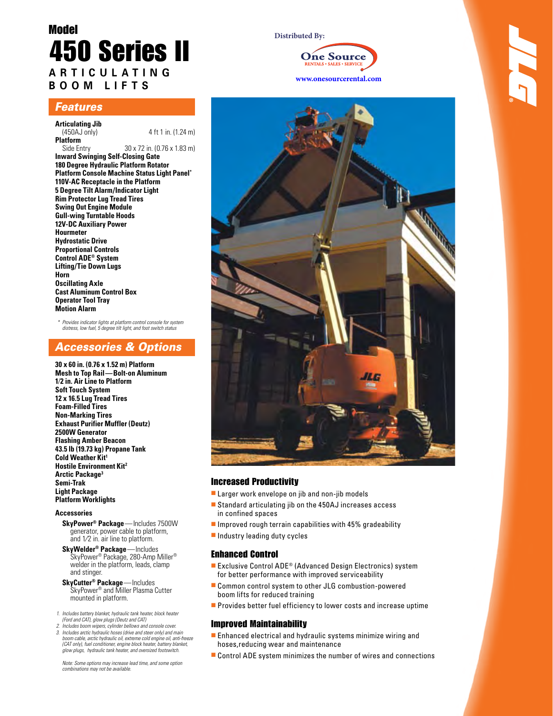# Model 450 Series II **ARTICUL A T I N G BOOM L IFTS**

# *Features*

- **Articulating Jib**
- 4 ft 1 in. (1.24 m)

**Platform** 30 x 72 in. (0.76 x 1.83 m) **Inward Swinging Self-Closing Gate 180 Degree Hydraulic Platform Rotator Platform Console Machine Status Light Panel\* 110V-AC Receptacle in the Platform 5 Degree Tilt Alarm/Indicator Light Rim Protector Lug Tread Tires Swing Out Engine Module Gull-wing Turntable Hoods 12V-DC Auxiliary Power Hourmeter Hydrostatic Drive Proportional Controls Control ADE® System Lifting/Tie Down Lugs Horn Oscillating Axle Cast Aluminum Control Box Operator Tool Tray Motion Alarm**

*\* Provides indicator lights at platform control console for system distress, low fuel, 5 degree tilt light, and foot switch status*

# *Accessories & Options*

**30 x 60 in. (0.76 x 1.52 m) Platform Mesh to Top Rail — Bolt-on Aluminum 1⁄2 in. Air Line to Platform Soft Touch System 12 x 16.5 Lug Tread Tires Foam-Filled Tires Non-Marking Tires Exhaust Purifier Muffler (Deutz) 2500W Generator Flashing Amber Beacon 43.5 lb (19.73 kg) Propane Tank Cold Weather Kit1 Hostile Environment Kit2 Arctic Package3 Semi-Trak Light Package Platform Worklights**

### **Accessories**

- **SkyPower® Package** Includes 7500W generator, power cable to platform, and 1⁄2 in. air line to platform.
- **SkyWelder® Package** Includes SkyPower® Package, 280-Amp Miller® welder in the platform, leads, clamp and stinger.
- **SkyCutter® Package** Includes SkyPower® and Miller Plasma Cutter mounted in platform.
- *1. Includes battery blanket, hydraulic tank heater, block heater (Ford and CAT), glow plugs (Deutz and CAT)*
- *2. Includes boom wipers, cylinder bellows and console cover.*
- *3. Includes arctic hydraulic hoses (drive and steer only) and main boom cable, arctic hydraulic oil, extreme cold engine oil, anti-freeze (CAT only), fuel conditioner, engine block heater, battery blanket, glow plugs, hydraulic tank heater, and oversized footswitch.*

 *Note: Some options may increase lead time, and some option combinations may not be available.*

### **Distributed By:**





# Increased Productivity

- $\blacksquare$  Larger work envelope on jib and non-jib models
- Standard articulating jib on the 450AJ increases access in confined spaces
- $\blacksquare$  Improved rough terrain capabilities with 45% gradeability
- $\blacksquare$  Industry leading duty cycles

### Enhanced Control

- Exclusive Control  $ADE^{\circ}$  (Advanced Design Electronics) system for better performance with improved serviceability
- Common control system to other JLG combustion-powered boom lifts for reduced training
- **Provides better fuel efficiency to lower costs and increase uptime**

### Improved Maintainability

- $\blacksquare$  Enhanced electrical and hydraulic systems minimize wiring and hoses,reducing wear and maintenance
- Control ADE system minimizes the number of wires and connections